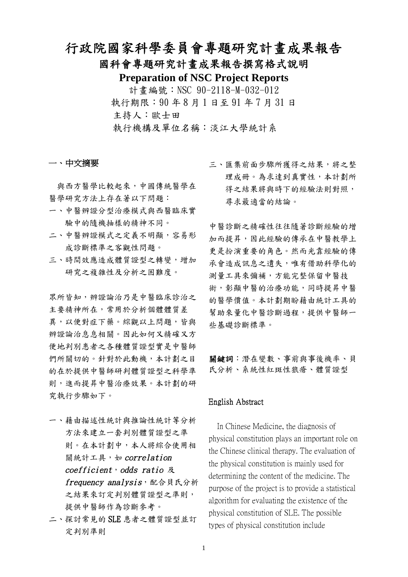## 行政院國家科學委員會專題研究計畫成果報告

## 國科會專題研究計畫成果報告撰寫格式說明

**Preparation of NSC Project Reports**

計書編號:NSC 90-2118-M-032-012 執行期限:90 年 8 月 1 日至 91 年 7 月 31 日 主持人:歐士田 執行機構及單位名稱:淡江大學統計系

#### 一、中文摘要

與西方醫學比較起來,中國傳統醫學在 醫學研究方法上存在著以下問題:

- 一、中醫辨證分型治療模式與西醫臨床實 驗中的隨機抽樣的精神不同。
- 二、中醫辨證模式之定義不明顯,容易形 成診斷標準之客觀性問題。
- 三、時間效應造成體質證型之轉變,增加 研究之複雜性及分析之困難度。

眾所皆知,辨證論治乃是中醫臨床診治之 主要精神所在,常用於分析個體體質差 異,以便對症下藥。綜觀以上問題,皆與 辨證論治息息相關。因此如何又精確又方 便地判別患者之各種體質證型實是中醫師 們所關切的。針對於此動機,本計劃之目 的在於提供中醫師研判體質證型之科學準 則,進而提昇中醫治療效果。本計劃的研 究執行步驟如下。

- 一、藉由描述性統計與推論性統計等分析 方法來建立一套判別體質證型之準 則。在本計劃中,本人將綜合使用相 關統計工具,如 correlation coefficient, odds ratio 及 frequency analysis,配合貝氏分析 之結果來訂定判別體質證型之準則, 提供中醫師作為診斷參考。
- 二、探討常見的 SLE 患者之體質證型並訂 定判別準則

三、匯集前面步驟所獲得之結果,將之整 理成冊。為求達到真實性,本計劃所 得之結果將與時下的經驗法則對照, 尋求最適當的結論。

中醫診斷之精確性往往隨著診斷經驗的增 加而提昇,因此經驗的傳承在中醫教學上 更是扮演重要的角色。然而光靠經驗的傳 承會造成訊息之遺失,唯有借助科學化的 測量工具來彌補,方能完整保留中醫技 術,彰顯中醫的治療功能,同時提昇中醫 的醫學價值。本計劃期盼藉由統計工具的 幫助來量化中醫診斷過程,提供中醫師一 些基礎診斷標準。

關鍵詞:潛在變數、事前與事後機率、貝 氏分析、系統性紅斑性狼瘡、體質證型

#### English Abstract

 In Chinese Medicine, the diagnosis of physical constitution plays an important role on the Chinese clinical therapy. The evaluation of the physical constitution is mainly used for determining the content of the medicine. The purpose of the project is to provide a statistical algorithm for evaluating the existence of the physical constitution of SLE. The possible types of physical constitution include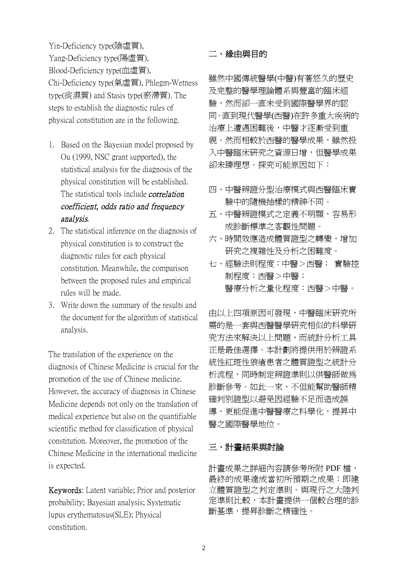Yin-Deficiency type(陰虛質), Yang-Deficiency type(陽虛質), Blood-Deficiency type(血虛質), Chi-Deficiency type(氣虛質), Phlegm-Wetness type(痰濕質) and Stasis type(瘀滯質). The steps to establish the diagnostic rules of physical constitution are in the following.

- 1. Based on the Bayesian model proposed by Ou (1999, NSC grant supported), the statistical analysis for the diagnosis of the physical constitution will be established. The statistical tools include *correlation* coefficient, odds ratio and frequency analysis.
- 2. The statistical inference on the diagnosis of physical constitution is to construct the diagnostic rules for each physical constitution. Meanwhile, the comparison between the proposed rules and empirical rules will be made.
- 3. Write down the summary of the results and the document for the algorithm of statistical analysis.

The translation of the experience on the diagnosis of Chinese Medicine is crucial for the promotion of the use of Chinese medicine. However, the accuracy of diagnosis in Chinese Medicine depends not only on the translation of medical experience but also on the quantifiable scientific method for classification of physical constitution. Moreover, the promotion of the Chinese Medicine in the international medicine is expected.

Keywords: Latent variable; Prior and posterior probability; Bayesian analysis; Systematic lupus erythematosus(SLE); Physical constitution.

## 二、緣由與目的

雖然中國傳統醫學(中醫)有著悠久的歷史 及完整的醫學理論體系與豐富的臨床經 驗,然而卻一直未受到國際醫學界的認 同。直到現代醫學(西醫)在許多重大疾病的 治療上遭遇困難後,中醫才逐漸受到重 視。然而相較於西醫的醫學成果,雖然投 入中醫臨床研究之資源日增,但醫學成果 卻未臻理想。探究可能原因如下:

- 四、中醫辨證分型治療模式與西醫臨床實 驗中的隨機抽樣的精神不同。
- 五、中醫辨證模式之定義不明顯,容易形 成診斷標準之客觀性問題。
- 六、時間效應造成體質證型之轉變,增加 研究之複雜性及分析之困難度。
- 七、經驗法則程度:中醫>西醫; 實驗控 制程度:西醫>中醫; 醫療分析之量化程度:西醫>中醫。

由以上四項原因可發現,中醫臨床研究所 需的是一套與西醫醫學研究相似的科學研 究方法來解決以上問題,而統計分析工具 正是最佳選擇。本計劃將提供用於辨證系 統性紅斑性狼瘡患者之體質證型之統計分 析流程,同時制定辨證準則以供醫師做為 診斷參考。如此一來,不但能幫助醫師精 確判別證型以避免因經驗不足而造成誤 導,更能促進中醫醫療之科學化,提昇中 醫之國際醫學地位。

## 三、計畫結果與討論

計畫成果之詳細內容請參考所附 PDF 檔, 最終的成果達成當初所預期之成果;即建 立體質證型之判定準則。與現行之大陸判 定準則比較,本計畫提供一個較合理的診 斷基準,提昇診斷之精確性。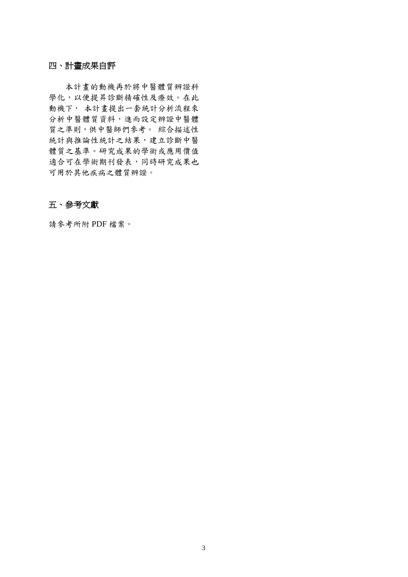### 四、計畫成果自評

本計畫的動機再於將中醫體質辨證科 學化,以便提昇診斷精確性及療效。在此 動機下, 本計畫提出一套統計分析流程來 分析中醫體質資料,進而設定辨證中醫體 質之準則,供中醫師們參考。 綜合描述性 統計與推論性統計之結果,建立診斷中醫 體質之基準。研究成果的學術或應用價值 適合可在學術期刊發表,同時研究成果也 可用於其他疾病之體質辨證。

### 五、參考文獻

請參考所附 PDF 檔案。